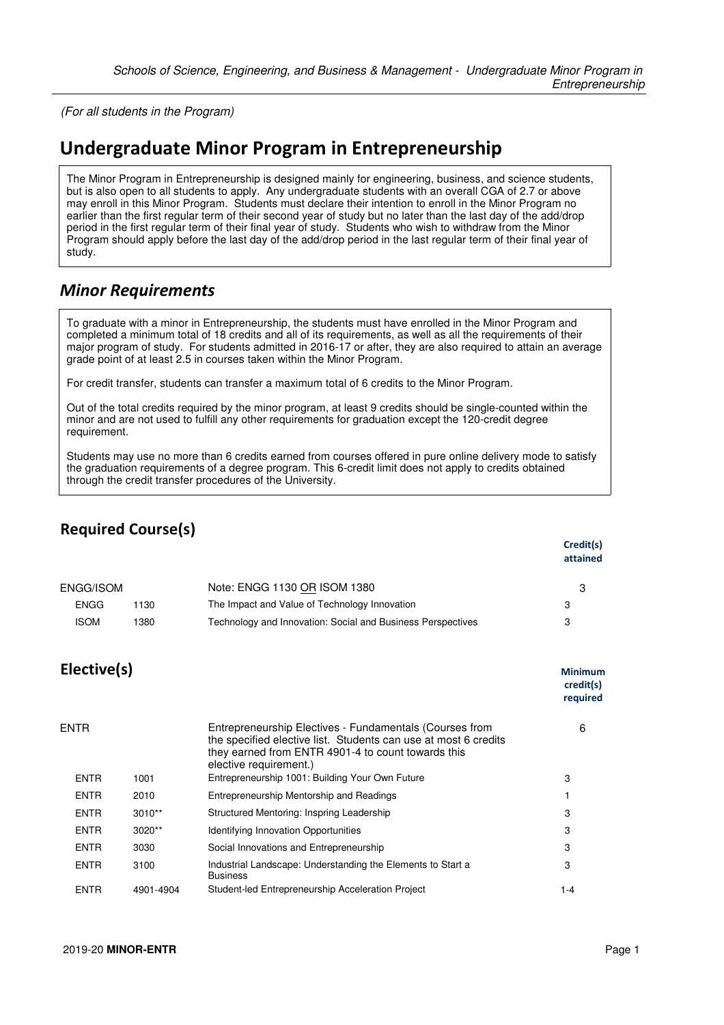(For all students in the Program)

## **Undergraduate Minor Program in Entrepreneurship**

The Minor Program in Entrepreneurship is designed mainly for engineering, business, and science students, but is also open to all students to apply. Any undergraduate students with an overall CGA of 2.7 or above may enroll in this Minor Program. Students must declare their intention to enroll in the Minor Program no earlier than the first regular term of their second year of study but no later than the last day of the add/drop period in the first regular term of their final year of study. Students who wish to withdraw from the Minor Program should apply before the last day of the add/drop period in the last regular term of their final year of study.

## *Minor Requirements*

To graduate with a minor in Entrepreneurship, the students must have enrolled in the Minor Program and completed a minimum total of 18 credits and all of its requirements, as well as all the requirements of their major program of study. For students admitted in 2016-17 or after, they are also required to attain an average grade point of at least 2.5 in courses taken within the Minor Program.

For credit transfer, students can transfer a maximum total of 6 credits to the Minor Program.

Out of the total credits required by the minor program, at least 9 credits should be single-counted within the minor and are not used to fulfill any other requirements for graduation except the 120-credit degree requirement.

Students may use no more than 6 credits earned from courses offered in pure online delivery mode to satisfy the graduation requirements of a degree program. This 6-credit limit does not apply to credits obtained through the credit transfer procedures of the University.

| <b>Required Course(s)</b> |           |                                                                                                                                                                                                            |                                         |
|---------------------------|-----------|------------------------------------------------------------------------------------------------------------------------------------------------------------------------------------------------------------|-----------------------------------------|
|                           |           |                                                                                                                                                                                                            | Credit(s)<br>attained                   |
| ENGG/ISOM                 |           | Note: ENGG 1130 OR ISOM 1380                                                                                                                                                                               | 3                                       |
| <b>ENGG</b>               | 1130      | The Impact and Value of Technology Innovation                                                                                                                                                              | 3                                       |
| <b>ISOM</b>               | 1380      | Technology and Innovation: Social and Business Perspectives                                                                                                                                                | 3                                       |
| Elective(s)               |           |                                                                                                                                                                                                            | <b>Minimum</b><br>credit(s)<br>required |
| ENTR                      |           | Entrepreneurship Electives - Fundamentals (Courses from<br>the specified elective list. Students can use at most 6 credits<br>they earned from ENTR 4901-4 to count towards this<br>elective requirement.) | 6                                       |
| <b>ENTR</b>               | 1001      | Entrepreneurship 1001: Building Your Own Future                                                                                                                                                            | 3                                       |
| <b>ENTR</b>               | 2010      | Entrepreneurship Mentorship and Readings                                                                                                                                                                   | 1                                       |
| <b>ENTR</b>               | 3010**    | Structured Mentoring: Inspring Leadership                                                                                                                                                                  | 3                                       |
| <b>ENTR</b>               | 3020**    | <b>Identifying Innovation Opportunities</b>                                                                                                                                                                | 3                                       |
| <b>ENTR</b>               | 3030      | Social Innovations and Entrepreneurship                                                                                                                                                                    | 3                                       |
| <b>ENTR</b>               | 3100      | Industrial Landscape: Understanding the Elements to Start a<br><b>Business</b>                                                                                                                             | 3                                       |
| <b>ENTR</b>               | 4901-4904 | Student-led Entrepreneurship Acceleration Project                                                                                                                                                          | $1 - 4$                                 |